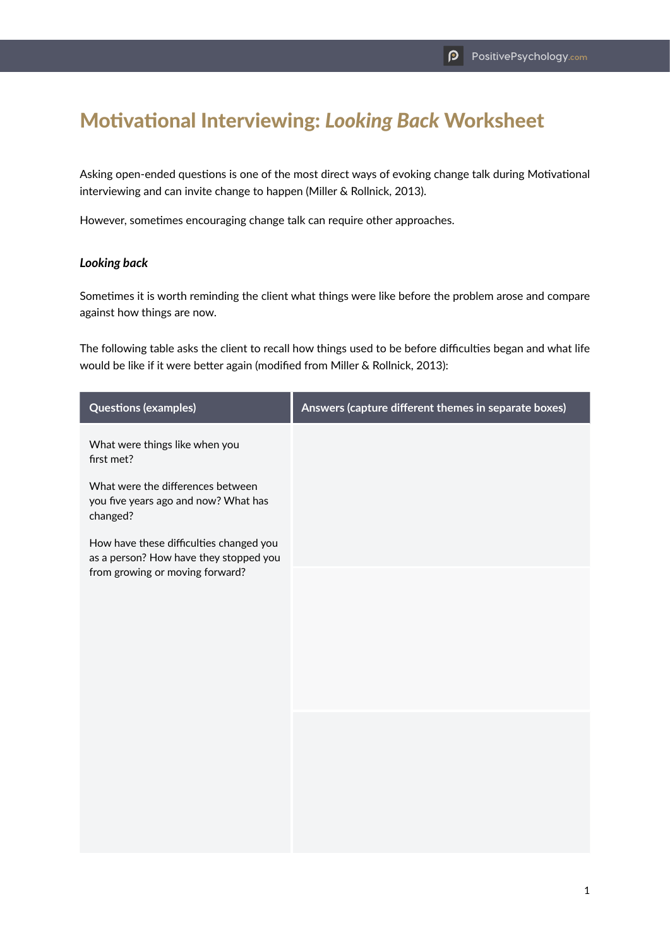## Motivational Interviewing: *Looking Back* Worksheet

Asking open-ended questions is one of the most direct ways of evoking change talk during Motivational interviewing and can invite change to happen (Miller & Rollnick, 2013).

However, sometimes encouraging change talk can require other approaches.

## *Looking back*

Sometimes it is worth reminding the client what things were like before the problem arose and compare against how things are now.

The following table asks the client to recall how things used to be before difficulties began and what life would be like if it were better again (modified from Miller & Rollnick, 2013):

| <b>Questions (examples)</b>                                                                                          | Answers (capture different themes in separate boxes) |
|----------------------------------------------------------------------------------------------------------------------|------------------------------------------------------|
| What were things like when you<br>first met?                                                                         |                                                      |
| What were the differences between<br>you five years ago and now? What has<br>changed?                                |                                                      |
| How have these difficulties changed you<br>as a person? How have they stopped you<br>from growing or moving forward? |                                                      |
|                                                                                                                      |                                                      |
|                                                                                                                      |                                                      |
|                                                                                                                      |                                                      |
|                                                                                                                      |                                                      |
|                                                                                                                      |                                                      |
|                                                                                                                      |                                                      |